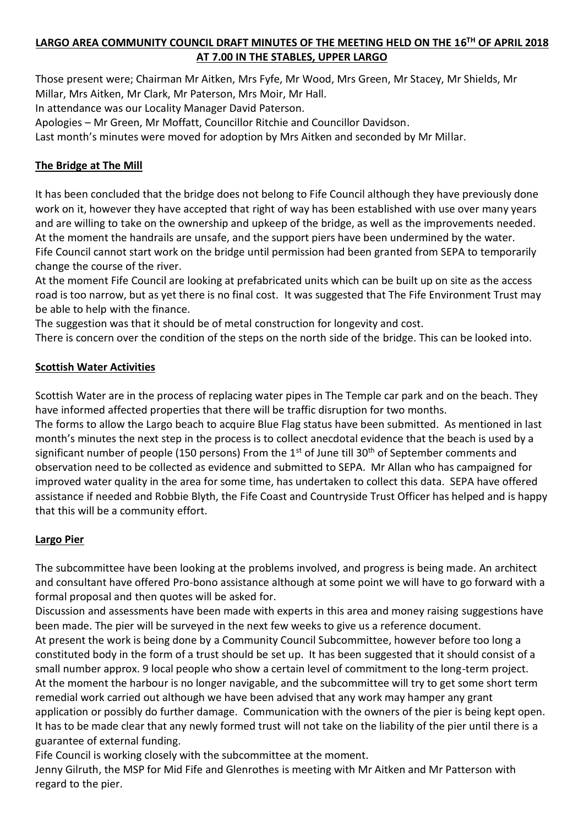# **LARGO AREA COMMUNITY COUNCIL DRAFT MINUTES OF THE MEETING HELD ON THE 16 TH OF APRIL 2018 AT 7.00 IN THE STABLES, UPPER LARGO**

Those present were; Chairman Mr Aitken, Mrs Fyfe, Mr Wood, Mrs Green, Mr Stacey, Mr Shields, Mr Millar, Mrs Aitken, Mr Clark, Mr Paterson, Mrs Moir, Mr Hall.

In attendance was our Locality Manager David Paterson.

Apologies – Mr Green, Mr Moffatt, Councillor Ritchie and Councillor Davidson.

Last month's minutes were moved for adoption by Mrs Aitken and seconded by Mr Millar.

#### **The Bridge at The Mill**

It has been concluded that the bridge does not belong to Fife Council although they have previously done work on it, however they have accepted that right of way has been established with use over many years and are willing to take on the ownership and upkeep of the bridge, as well as the improvements needed. At the moment the handrails are unsafe, and the support piers have been undermined by the water. Fife Council cannot start work on the bridge until permission had been granted from SEPA to temporarily change the course of the river.

At the moment Fife Council are looking at prefabricated units which can be built up on site as the access road is too narrow, but as yet there is no final cost. It was suggested that The Fife Environment Trust may be able to help with the finance.

The suggestion was that it should be of metal construction for longevity and cost.

There is concern over the condition of the steps on the north side of the bridge. This can be looked into.

### **Scottish Water Activities**

Scottish Water are in the process of replacing water pipes in The Temple car park and on the beach. They have informed affected properties that there will be traffic disruption for two months.

The forms to allow the Largo beach to acquire Blue Flag status have been submitted. As mentioned in last month's minutes the next step in the process is to collect anecdotal evidence that the beach is used by a significant number of people (150 persons) From the 1<sup>st</sup> of June till 30<sup>th</sup> of September comments and observation need to be collected as evidence and submitted to SEPA. Mr Allan who has campaigned for improved water quality in the area for some time, has undertaken to collect this data. SEPA have offered assistance if needed and Robbie Blyth, the Fife Coast and Countryside Trust Officer has helped and is happy that this will be a community effort.

#### **Largo Pier**

The subcommittee have been looking at the problems involved, and progress is being made. An architect and consultant have offered Pro-bono assistance although at some point we will have to go forward with a formal proposal and then quotes will be asked for.

Discussion and assessments have been made with experts in this area and money raising suggestions have been made. The pier will be surveyed in the next few weeks to give us a reference document. At present the work is being done by a Community Council Subcommittee, however before too long a constituted body in the form of a trust should be set up. It has been suggested that it should consist of a small number approx. 9 local people who show a certain level of commitment to the long-term project. At the moment the harbour is no longer navigable, and the subcommittee will try to get some short term remedial work carried out although we have been advised that any work may hamper any grant application or possibly do further damage. Communication with the owners of the pier is being kept open. It has to be made clear that any newly formed trust will not take on the liability of the pier until there is a guarantee of external funding.

Fife Council is working closely with the subcommittee at the moment.

Jenny Gilruth, the MSP for Mid Fife and Glenrothes is meeting with Mr Aitken and Mr Patterson with regard to the pier.